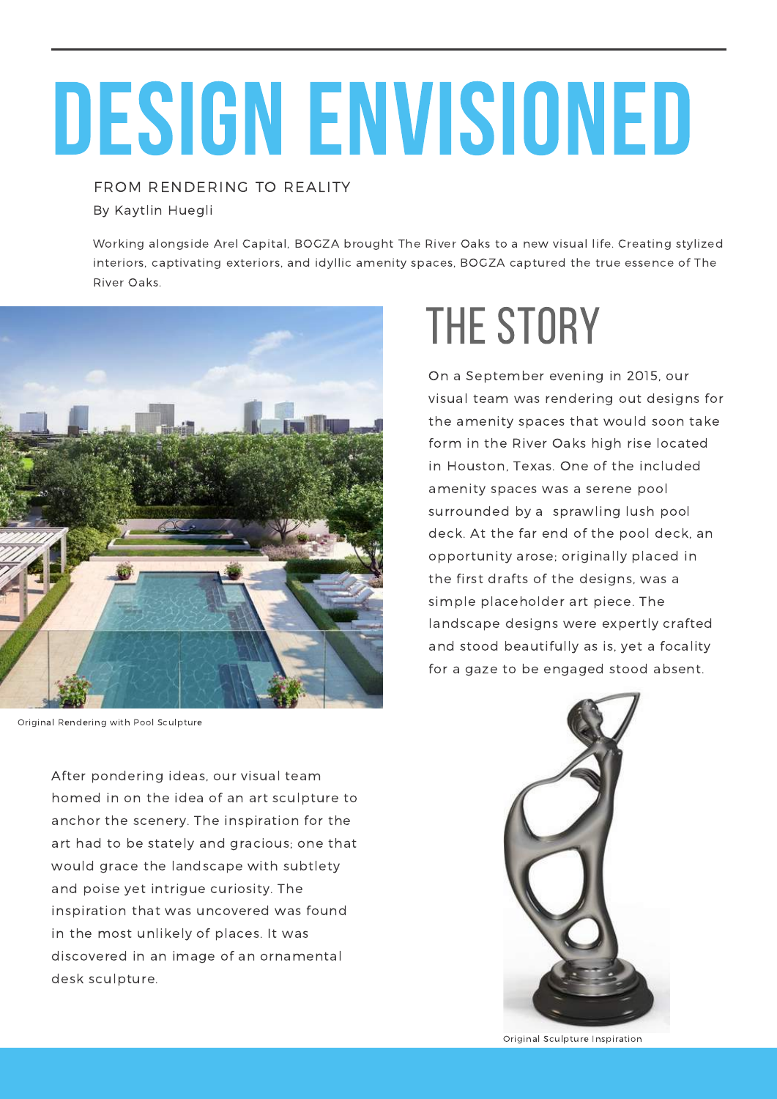# DESIGN ENVISIONED

FROM RENDERING TO REALITY By Kaytlin Huegli

Working alongside Arel Capital, BOGZA brought The River Oaks to a new visual life. Creating stylized interiors, captivating exteriors, and idyllic amenity spaces, BOGZA captured the true essence of The River Oaks.



Original Rendering with Pool Sculpture

After pondering ideas, our visual team homed in on the idea of an art sculpture to anchor the scenery. The inspiration for the art had to be stately and gracious; one that would grace the landscape with subtlety and poise yet intrigue curiosity. The inspiration that was uncovered was found in the most unlikely of places. It was discovered in an image of an ornamental desk sculpture.

### THE STORY

On a September evening in 2015, our visual team was rendering out designs for the amenity spaces that would soon take form in the River Oaks high rise located in Houston, Texas. One of the included amenity spaces was a serene pool surrounded by a sprawling lush pool deck. At the far end of the pool deck, an opportunity arose; originally placed in the first drafts of the designs, was a simple placeholder art piece. The landscape designs were expertly crafted and stood beautifully as is, yet a focality for a gaze to be engaged stood absent.



Original Sculpture Inspiration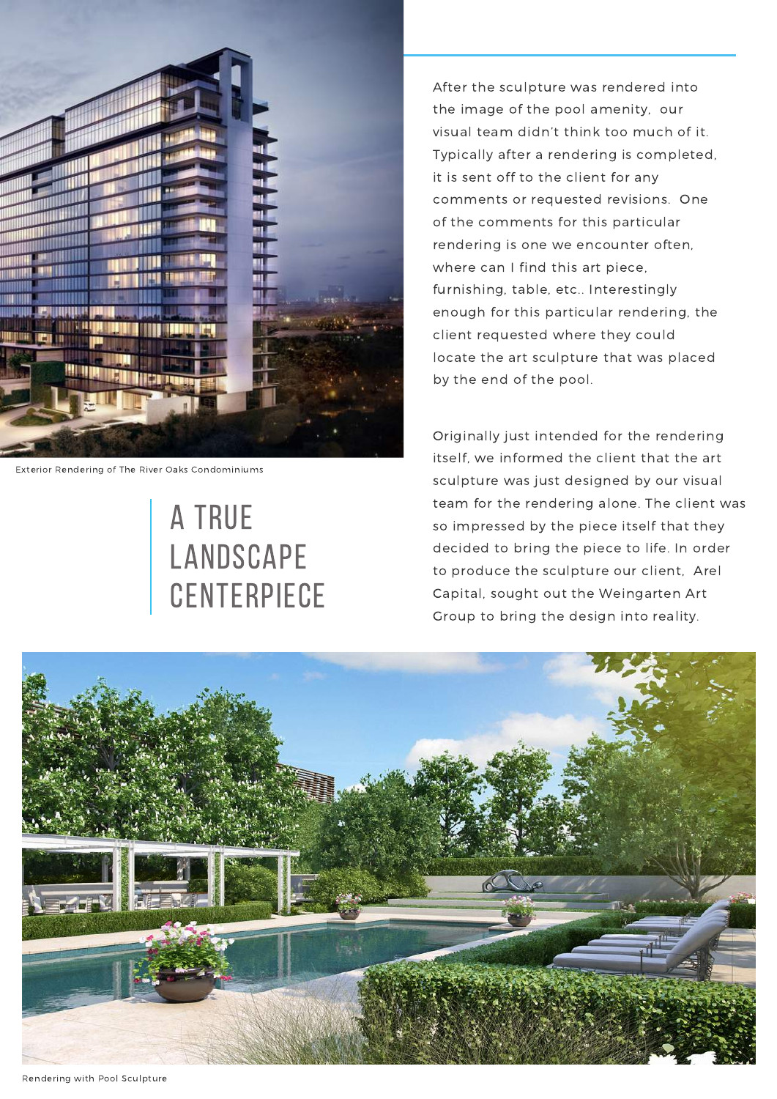

Exterior Rendering of The River Oaks Condominiums

#### A TRUE LANDSCAPE **CENTERPIECE**

After the sculpture was rendered into the image of the pool amenity, our visual team didn't think too much of it. Typically after a rendering is completed, it is sent off to the client for any comments or requested revisions. One of the comments for this particular rendering is one we encounter often, where can I find this art piece, furnishing, table, etc.. Interestingly enough for this particular rendering, the client requested where they could locate the art sculpture that was placed by the end of the pool.

Originally just intended for the rendering itself, we informed the client that the art sculpture was just designed by our visual team for the rendering alone. The client was so impressed by the piece itself that they decided to bring the piece to life. In order to produce the sculpture our client, Arel Capital, sought out the Weingarten Art Group to bring the design into reality.



Rendering with Pool Sculpture